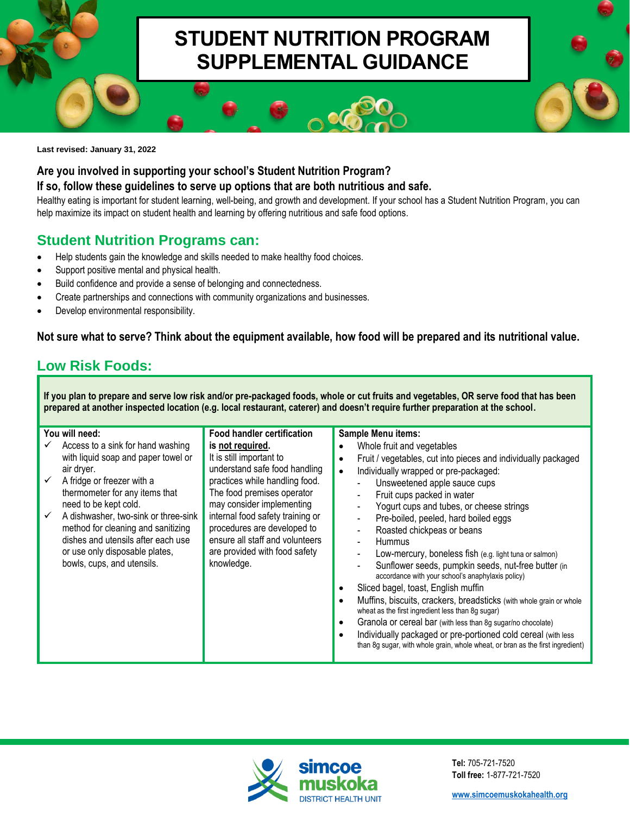# **STUDENT NUTRITION PROGRAM SUPPLEMENTAL GUIDANCE**

**Last revised: January 31, 2022**

### **Are you involved in supporting your school's Student Nutrition Program?**

#### **If so, follow these guidelines to serve up options that are both nutritious and safe.**

Healthy eating is important for student learning, well-being, and growth and development. If your school has a Student Nutrition Program, you can help maximize its impact on student health and learning by offering nutritious and safe food options.

## **Student Nutrition Programs can:**

- Help students gain the knowledge and skills needed to make healthy food choices.
- Support positive mental and physical health.
- Build confidence and provide a sense of belonging and connectedness.
- Create partnerships and connections with community organizations and businesses.
- Develop environmental responsibility.

### **Not sure what to serve? Think about the equipment available, how food will be prepared and its nutritional value.**

## **Low Risk Foods:**

**If you plan to prepare and serve low risk and/or pre-packaged foods, whole or cut fruits and vegetables, OR serve food that has been prepared at another inspected location (e.g. local restaurant, caterer) and doesn't require further preparation at the school.**

| You will need:                                                                                                                                                                                                                                                                                                                                                                                      | <b>Food handler certification</b>                                                                                                                                                                                                                                                                                               | <b>Sample Menu items:</b>                                                                                                                                                                                                                                                                                                                                                                                                                                                                                                                                                                                                                                                                                                                                                                                                                                                                                                                                                                                                                              |
|-----------------------------------------------------------------------------------------------------------------------------------------------------------------------------------------------------------------------------------------------------------------------------------------------------------------------------------------------------------------------------------------------------|---------------------------------------------------------------------------------------------------------------------------------------------------------------------------------------------------------------------------------------------------------------------------------------------------------------------------------|--------------------------------------------------------------------------------------------------------------------------------------------------------------------------------------------------------------------------------------------------------------------------------------------------------------------------------------------------------------------------------------------------------------------------------------------------------------------------------------------------------------------------------------------------------------------------------------------------------------------------------------------------------------------------------------------------------------------------------------------------------------------------------------------------------------------------------------------------------------------------------------------------------------------------------------------------------------------------------------------------------------------------------------------------------|
| Access to a sink for hand washing<br>with liquid soap and paper towel or<br>air dryer.<br>$\checkmark$<br>A fridge or freezer with a<br>thermometer for any items that<br>need to be kept cold.<br>A dishwasher, two-sink or three-sink<br>$\checkmark$<br>method for cleaning and sanitizing<br>dishes and utensils after each use<br>or use only disposable plates,<br>bowls, cups, and utensils. | is not required.<br>It is still important to<br>understand safe food handling<br>practices while handling food.<br>The food premises operator<br>may consider implementing<br>internal food safety training or<br>procedures are developed to<br>ensure all staff and volunteers<br>are provided with food safety<br>knowledge. | Whole fruit and vegetables<br>$\bullet$<br>Fruit / vegetables, cut into pieces and individually packaged<br>Individually wrapped or pre-packaged:<br>Unsweetened apple sauce cups<br>$\blacksquare$<br>Fruit cups packed in water<br>$\blacksquare$<br>Yogurt cups and tubes, or cheese strings<br>$\overline{\phantom{a}}$<br>Pre-boiled, peeled, hard boiled eggs<br>$\blacksquare$<br>Roasted chickpeas or beans<br>$\blacksquare$<br><b>Hummus</b><br>$\blacksquare$<br>Low-mercury, boneless fish (e.g. light tuna or salmon)<br>$\blacksquare$<br>Sunflower seeds, pumpkin seeds, nut-free butter (in<br>accordance with your school's anaphylaxis policy)<br>Sliced bagel, toast, English muffin<br>Muffins, biscuits, crackers, breadsticks (with whole grain or whole<br>wheat as the first ingredient less than 8g sugar)<br>Granola or cereal bar (with less than 8g sugar/no chocolate)<br>Individually packaged or pre-portioned cold cereal (with less<br>than 8g sugar, with whole grain, whole wheat, or bran as the first ingredient) |



**Tel:** 705-721-7520 **Toll free:** 1-877-721-7520

**[www.simcoemuskokahealth.org](https://www.simcoemuskokahealth.org/)**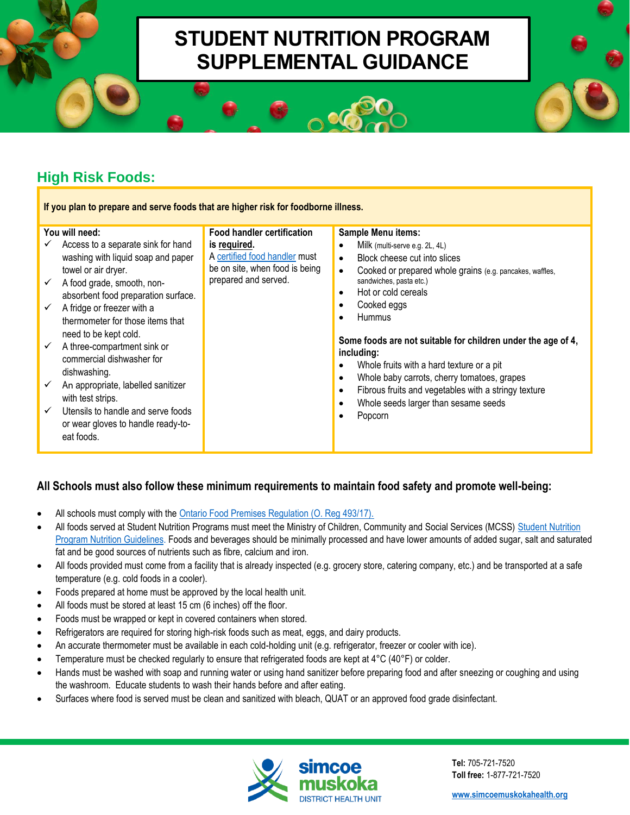# **STUDENT NUTRITION PROGRAM SUPPLEMENTAL GUIDANCE**

## **High Risk Foods:**

**If you plan to prepare and serve foods that are higher risk for foodborne illness.**

**Food handler certification** 

A [certified food handler](https://www.simcoemuskokahealth.org/HealthUnit/Workplaces/Businesses/FoodOperators/fhcerttraining.aspx) must be on site, when food is being prepared and served.

**is required.**

#### **You will need:**

- $\checkmark$  Access to a separate sink for hand washing with liquid soap and paper towel or air dryer.
- ✓ A food grade, smooth, nonabsorbent food preparation surface.
- $\checkmark$  A fridge or freezer with a thermometer for those items that need to be kept cold.
- $\checkmark$  A three-compartment sink or commercial dishwasher for dishwashing.
- $\checkmark$  An appropriate, labelled sanitizer with test strips.
- ✓ Utensils to handle and serve foods or wear gloves to handle ready-toeat foods.

#### **Sample Menu items:**

- Milk (multi-serve e.g. 2L, 4L)
- Block cheese cut into slices
- Cooked or prepared whole grains (e.g. pancakes, waffles, sandwiches, pasta etc.)
- Hot or cold cereals
- Cooked eggs
- Hummus

**Some foods are not suitable for children under the age of 4, including:**

- Whole fruits with a hard texture or a pit
- Whole baby carrots, cherry tomatoes, grapes
- Fibrous fruits and vegetables with a stringy texture
- Whole seeds larger than sesame seeds
- Popcorn

### **All Schools must also follow these minimum requirements to maintain food safety and promote well-being:**

- All schools must comply with the [Ontario Food Premises Regulation \(O. Reg 493/17\).](https://www.ontario.ca/laws/regulation/170493)
- All foods served at Student Nutrition Programs must meet the Ministry of Children, Community and Social Services (MCSS) [Student Nutrition](https://files.ontario.ca/mccss-2020-student-nutrition-program-guidelines-en-2021-11-29.pdf)  [Program Nutrition Guidelines. F](https://files.ontario.ca/mccss-2020-student-nutrition-program-guidelines-en-2021-11-29.pdf)oods and beverages should be minimally processed and have lower amounts of added sugar, salt and saturated fat and be good sources of nutrients such as fibre, calcium and iron.
- All foods provided must come from a facility that is already inspected (e.g. grocery store, catering company, etc.) and be transported at a safe temperature (e.g. cold foods in a cooler).
- Foods prepared at home must be approved by the local health unit.
- All foods must be stored at least 15 cm (6 inches) off the floor.
- Foods must be wrapped or kept in covered containers when stored.
- Refrigerators are required for storing high-risk foods such as meat, eggs, and dairy products.
- An accurate thermometer must be available in each cold-holding unit (e.g. refrigerator, freezer or cooler with ice).
- Temperature must be checked regularly to ensure that refrigerated foods are kept at 4°C (40°F) or colder.
- Hands must be washed with soap and running water or using hand sanitizer before preparing food and after sneezing or coughing and using the washroom. Educate students to wash their hands before and after eating.
- Surfaces where food is served must be clean and sanitized with bleach, QUAT or an approved food grade disinfectant.



**Tel:** 705-721-7520 **Toll free:** 1-877-721-7520

**[www.simcoemuskokahealth.org](https://www.simcoemuskokahealth.org/)**